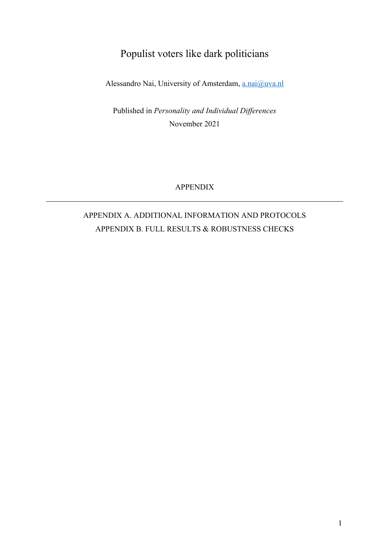# Populist voters like dark politicians

Alessandro Nai, University of Amsterdam, a.nai@uva.nl

Published in *Personality and Individual Differences* November 2021

APPENDIX

# APPENDIX A. ADDITIONAL INFORMATION AND PROTOCOLS APPENDIX B. FULL RESULTS & ROBUSTNESS CHECKS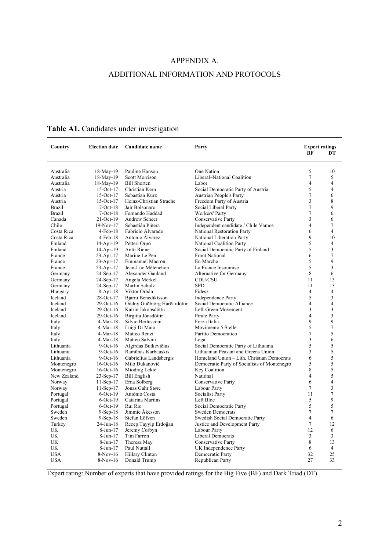## APPENDIX A.

### ADDITIONAL INFORMATION AND PROTOCOLS

| Country       | <b>Election date</b> | Candidate name              | Party                                        | <b>Expert ratings</b><br>BF | DT             |
|---------------|----------------------|-----------------------------|----------------------------------------------|-----------------------------|----------------|
|               |                      |                             |                                              |                             |                |
| Australia     | 18-May-19            | Pauline Hanson              | One Nation                                   | 5                           | 10             |
| Australia     | 18-May-19            | <b>Scott Morrison</b>       | Liberal-National Coalition                   | $\overline{7}$              | 5              |
| Australia     | 18-May-19            | <b>Bill Shorten</b>         | Labor                                        | $\overline{4}$              | $\overline{4}$ |
| Austria       | $15-Oct-17$          | Christian Kern              | Social Democratic Party of Austria           | 5                           | $\overline{4}$ |
| Austria       | $15-Oct-17$          | Sebastian Kurz              | <b>Austrian People's Party</b>               | $\tau$                      | 6              |
| Austria       | $15$ -Oct- $17$      | Heinz-Christian Strache     | Freedom Party of Austria                     | 3                           | 8              |
| <b>Brazil</b> | $7-Oct-18$           | Jair Bolsonaro              | Social Liberal Party                         | $\overline{7}$              | 9              |
| Brazil        | $7-Oct-18$           | Fernando Haddad             | Workers' Party                               | 7                           | 6              |
| Canada        | 21-Oct-19            | Andrew Scheer               | Conservative Party                           | 3                           | 6              |
| Chile         | $19-Nov-17$          | Sebastián Piñera            | Independent candidate / Chile Vamos          | $\overline{4}$              | 7              |
| Costa Rica    | $4-Feb-18$           | Fabricio Alvarado           | National Restoration Party                   | 6                           | $\overline{4}$ |
| Costa Rica    | $4-Feb-18$           | Antonio Álvarez             | National Liberation Party                    | 9                           | 10             |
| Finland       | $14$ -Apr-19         | Petteri Orpo                | National Coalition Party                     | 5                           | 4              |
| Finland       | $14-Apr-19$          | Antti Rinne                 | Social Democratic Party of Finland           | 5                           | 3              |
| France        | $23 - Apr - 17$      | Marine Le Pen               | Front National                               | 6                           | 7              |
| France        | $23 - Apr - 17$      | <b>Emmanuel Macron</b>      | En Marche                                    | 5                           | 9              |
| France        | $23 - Apr - 17$      | Jean-Luc Mélenchon          | La France Insoumise                          | 5                           | 3              |
| Germany       | $24-Sep-17$          | Alexander Gauland           | Alternative for Germany                      | 8                           | 6              |
| Germany       | 24-Sep-17            | Angela Merkel               | CDU/CSU                                      | 11                          | 13             |
| Germany       | 24-Sep-17            | Martin Schulz               | <b>SPD</b>                                   | 11                          | 13             |
| Hungary       | $8 - Apr - 18$       | Viktor Orbán                | Fidesz                                       | $\overline{4}$              | $\overline{4}$ |
| Iceland       | 28-Oct-17            | Bjarni Benediktsson         | <b>Independence Party</b>                    | 5                           | 3              |
| Iceland       | 29-Oct-16            | Oddný Guðbjörg Harðardóttir | Social Democratic Alliance                   | $\overline{4}$              | $\overline{4}$ |
| Iceland       | 29-Oct-16            | Katrín Jakobsdóttir         | Left-Green Movement                          | 3                           | 3              |
| Iceland       | $29$ -Oct-16         | Birgitta Jónsdóttir         | Pirate Party                                 | $\overline{4}$              | 3              |
| Italy         | 4-Mar-18             | Silvio Berlusconi           | Forza Italia                                 | 9                           | 9              |
| Italy         | $4-Mar-18$           | Luigi Di Maio               | Movimento 5 Stelle                           | 5                           | $\overline{7}$ |
| Italy         | $4-Mar-18$           | Matteo Renzi                | Partito Democratico                          | $\tau$                      | 5              |
| Italy         | $4-Mar-18$           | Matteo Salvini              | Lega                                         | 3                           | 6              |
| Lithuania     | $9$ -Oct-16          | Algirdas Butkevičius        | Social Democratic Party of Lithuania         | 5                           | 5              |
| Lithuania     | $9$ -Oct-16          | Ramūnas Karbauskis          | Lithuanian Peasant and Greens Union          | 3                           | 5              |
| Lithuania     | $9$ -Oct-16          | Gabrielius Landsbergis      | Homeland Union - Lith. Christian Democrats   | 6                           | 5              |
| Montenegro    | $16$ -Oct- $16$      | Milo Đukanović              | Democratic Party of Socialists of Montenegro | 5                           | 5              |
| Montenegro    | $16$ -Oct- $16$      | Miodrag Lekić               | Key Coalition                                | 8                           | 5              |
| New Zealand   | $23-Sep-17$          | <b>Bill English</b>         | National                                     | $\overline{4}$              | 5              |
| Norway        | $11-Sep-17$          | Erna Solberg                | Conservative Party                           | 6                           | $\overline{4}$ |
| Norway        | $11-Sep-17$          | Jonas Gahr Støre            | Labour Party                                 | 7                           | 3              |
| Portugal      | $6$ -Oct-19          | António Costa               | Socialist Party                              | 11                          | 7              |
| Portugal      | $6$ -Oct-19          | Catarina Martins            | Left Bloc                                    | 5                           | 9              |
| Portugal      | $6$ -Oct-19          | Rui Rio                     | Social Democratic Party                      | 5                           | 5              |
| Sweden        | $9-Sep-18$           | Jimmie Åkesson              | <b>Sweden Democrats</b>                      | $\tau$                      | 7              |
| Sweden        | $9-Sep-18$           | Stefan Löfven               | Swedish Social Democratic Party              | $\overline{4}$              | 6              |
| Turkey        | 24-Jun-18            | Recep Tayyip Erdoğan        | Justice and Development Party                | $\tau$                      | 12             |
| UK            | 8-Jun-17             | Jeremy Corbyn               | Labour Party                                 | 12                          | 6              |
| UK            | 8-Jun-17             | Tim Farron                  | Liberal Democrats                            | 3                           | 3              |
| UK            | 8-Jun-17             | Theresa May                 | Conservative Party                           | 8                           | 13             |
| UK            | 8-Jun-17             | Paul Nuttall                | UK Independence Party                        | 6                           | $\overline{4}$ |
| <b>USA</b>    | 8-Nov-16             | Hillary Clinton             | Democratic Party                             | 32                          | 25             |
| <b>USA</b>    | 8-Nov-16             | Donald Trump                | Republican Party                             | 27                          | 33             |
|               |                      |                             |                                              |                             |                |

## **Table A1.** Candidates under investigation

Expert rating: Number of experts that have provided ratings for the Big Five (BF) and Dark Triad (DT).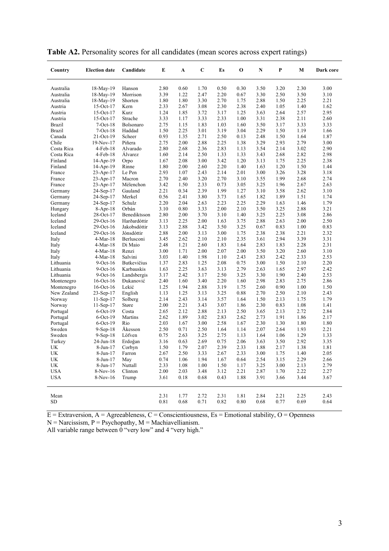| Country       | <b>Election date</b> | Candidate          | Е    | A    | C    | Es   | О    | N    | P    | М    | Dark core |
|---------------|----------------------|--------------------|------|------|------|------|------|------|------|------|-----------|
| Australia     | 18-May-19            | Hanson             | 2.80 | 0.60 | 1.70 | 0.50 | 0.30 | 3.50 | 3.20 | 2.30 | 3.00      |
| Australia     | 18-May-19            | Morrison           | 3.39 | 1.22 | 2.47 | 2.20 | 0.67 | 3.30 | 2.50 | 3.50 | 3.10      |
| Australia     | 18-May-19            | Shorten            | 1.80 | 1.80 | 3.30 | 2.70 | 1.75 | 2.88 | 1.50 | 2.25 | 2.21      |
| Austria       | $15-Oct-17$          | Kern               | 2.33 | 2.67 | 3.08 | 2.30 | 2.38 | 2.40 | 1.05 | 1.40 | 1.62      |
| Austria       | $15-Oct-17$          | Kurz               | 1.24 | 1.85 | 3.72 | 3.17 | 1.25 | 3.63 | 2.64 | 2.57 | 2.95      |
| Austria       | $15-Oct-17$          | Strache            | 3.33 | 1.17 | 3.33 | 2.33 | 1.00 | 3.31 | 2.38 | 2.11 | 2.60      |
| <b>Brazil</b> | $7-Oct-18$           | Bolsonaro          | 2.75 | 1.15 | 1.83 | 1.03 | 1.60 | 3.50 | 3.17 | 3.33 | 3.33      |
| Brazil        | $7-Oct-18$           | Haddad             | 1.50 | 2.25 | 3.01 | 3.19 | 3.04 | 2.29 | 1.50 | 1.19 | 1.66      |
| Canada        | 21-Oct-19            | Scheer             | 0.93 | 1.35 | 2.71 | 2.50 | 0.13 | 2.48 | 1.50 | 1.64 | 1.87      |
| Chile         | 19-Nov-17            | Piñera             | 2.75 | 2.00 | 2.88 | 2.25 | 1.38 | 3.29 | 2.93 | 2.79 | 3.00      |
| Costa Rica    | $4-Feb-18$           | Alvarado           | 2.80 | 2.68 | 2.36 | 2.83 | 1.13 | 3.54 | 2.14 | 3.02 | 2.90      |
| Costa Rica    | $4-Feb-18$           | Alvarez            | 1.60 | 2.14 | 2.50 | 1.33 | 1.33 | 3.43 | 2.68 | 2.82 | 2.98      |
| Finland       | $14$ -Apr-19         | Orpo               | 1.67 | 2.08 | 3.00 | 3.42 | 1.20 | 3.13 | 1.75 | 2.25 | 2.38      |
| Finland       | $14$ -Apr-19         | Rinne              | 1.80 | 2.00 | 2.60 | 2.20 | 1.40 | 1.63 | 1.20 | 1.50 | 1.44      |
| France        | $23 - Apr - 17$      | Le Pen             | 2.93 | 1.07 | 2.43 | 2.14 | 2.01 | 3.00 | 3.26 | 3.28 | 3.18      |
| France        | $23 - Apr - 17$      | Macron             | 2.70 | 2.40 | 3.20 | 2.70 | 3.10 | 3.55 | 1.99 | 2.68 | 2.74      |
| France        | $23 - Apr - 17$      | Mélenchon          | 3.42 | 1.50 | 2.33 | 0.73 | 3.05 | 3.25 | 1.96 | 2.67 | 2.63      |
| Germany       | 24-Sep-17            | Gauland            | 2.21 | 0.34 | 2.39 | 1.99 | 1.27 | 3.10 | 3.58 | 2.62 | 3.10      |
| Germany       | 24-Sep-17            | Merkel             | 0.56 | 2.41 | 3.80 | 3.73 | 1.65 | 1.82 | 1.89 | 1.51 | 1.74      |
| Germany       | 24-Sep-17            | Schulz             | 2.20 | 2.04 | 2.63 | 2.23 | 2.25 | 2.29 | 1.63 | 1.46 | 1.79      |
| Hungary       | $8-Apr-18$           | Orbán              | 3.10 | 0.80 | 3.33 | 2.00 | 2.10 | 3.50 | 3.25 | 2.88 | 3.21      |
| Iceland       | 28-Oct-17            | Benediktsson       | 2.80 | 2.00 | 3.70 | 3.10 | 1.40 | 3.25 | 2.25 | 3.08 | 2.86      |
| Iceland       | $29$ -Oct- $16$      | Harðardóttir       | 3.13 | 2.25 | 2.00 | 1.63 | 3.75 | 2.88 | 2.63 | 2.00 | 2.50      |
| Iceland       | 29-Oct-16            | Jakobsdóttir       | 3.13 | 2.88 | 3.42 | 3.50 | 3.25 | 0.67 | 0.83 | 1.00 | 0.83      |
| Iceland       | 29-Oct-16            | Jónsdóttir         | 2.88 | 2.00 | 3.13 | 3.00 | 1.75 | 2.38 | 2.38 | 2.21 | 2.32      |
| Italy         | $4-Mar-18$           | Berlusconi         | 3.45 | 2.62 | 2.10 | 2.10 | 2.35 | 3.61 | 2.94 | 3.39 | 3.31      |
| Italy         | $4-Mar-18$           | Di Maio            | 2.48 | 1.21 | 2.60 | 1.83 | 1.64 | 2.83 | 1.83 | 2.28 | 2.31      |
| Italy         | $4-Mar-18$           | Renzi              | 3.00 | 1.71 | 2.00 | 2.07 | 2.00 | 3.50 | 3.20 | 2.60 | 3.10      |
| Italy         | $4-Mar-18$           | Salvini            | 3.03 | 1.40 | 1.98 | 1.10 | 2.43 | 2.83 | 2.42 | 2.33 | 2.53      |
| Lithuania     | $9$ -Oct- $16$       | <b>Butkevičius</b> | 1.37 | 2.83 | 1.25 | 2.08 | 0.75 | 3.00 | 1.50 | 2.10 | 2.20      |
| Lithuania     | $9$ -Oct-16          | Karbauskis         | 1.63 | 2.25 | 3.63 | 3.13 | 2.79 | 2.63 | 1.65 | 2.97 | 2.42      |
| Lithuania     | $9$ -Oct-16          | Landsbergis        | 3.17 | 2.42 | 3.17 | 2.50 | 3.25 | 3.30 | 1.90 | 2.40 | 2.53      |
| Montenegro    | $16$ -Oct- $16$      | <b>Dukanović</b>   | 2.40 | 1.60 | 3.40 | 2.20 | 1.60 | 2.98 | 2.83 | 2.75 | 2.86      |
| Montenegro    | $16$ -Oct- $16$      | Lekić              | 1.25 | 1.94 | 2.88 | 3.19 | 1.75 | 2.60 | 0.90 | 1.00 | 1.50      |
| New Zealand   | 23-Sep-17            | English            | 1.13 | 1.25 | 3.13 | 3.25 | 0.88 | 2.70 | 2.50 | 2.10 | 2.43      |
| Norway        | $11-Sep-17$          | Solberg            | 2.14 | 2.43 | 3.14 | 3.57 | 1.64 | 1.50 | 2.13 | 1.75 | 1.79      |
| Norway        | $11-Sep-17$          | Støre              | 2.00 | 2.21 | 3.43 | 3.07 | 1.86 | 2.30 | 0.83 | 1.08 | 1.41      |
| Portugal      | $6$ -Oct-19          | Costa              | 2.65 | 2.12 | 2.88 | 2.13 | 2.50 | 3.65 | 2.13 | 2.72 | 2.84      |
| Portugal      | $6$ -Oct-19          | Martins            | 2.62 | 1.89 | 3.02 | 2.83 | 2.62 | 2.73 | 1.91 | 1.86 | 2.17      |
| Portugal      | $6$ -Oct-19          | Rio                | 2.03 | 1.67 | 3.00 | 2.58 | 1.67 | 2.30 | 1.30 | 1.80 | 1.80      |
| Sweden        | $9-Sep-18$           | Åkesson            | 2.50 | 0.71 | 2.50 | 1.64 | 1.14 | 2.07 | 2.64 | 1.93 | 2.21      |
| Sweden        | $9-Sep-18$           | Löfven             | 0.75 | 2.63 | 3.25 | 2.75 | 1.13 | 1.64 | 1.06 | 1.29 | 1.33      |
| Turkey        | 24-Jun-18            | Erdoğan            | 3.16 | 0.63 | 2.69 | 0.75 | 2.06 | 3.63 | 3.50 | 2.92 | 3.35      |
| UK            | 8-Jun-17             | Corbyn             | 1.50 | 1.79 | 2.07 | 2.39 | 2.33 | 1.88 | 2.17 | 1.38 | 1.81      |
| UK            | 8-Jun-17             | Farron             | 2.67 | 2.50 | 3.33 | 2.67 | 2.33 | 3.00 | 1.75 | 1.40 | 2.05      |
| UK            | 8-Jun-17             | May                | 0.74 | 1.06 | 1.94 | 1.67 | 0.64 | 2.54 | 3.15 | 2.29 | 2.66      |
| UK            | 8-Jun-17             | Nuttall            | 2.33 | 1.08 | 1.00 | 1.50 | 1.17 | 3.25 | 3.00 | 2.13 | 2.79      |
| <b>USA</b>    | $8-Nov-16$           | Clinton            | 2.00 | 2.03 | 3.48 | 3.12 | 2.21 | 2.87 | 1.70 | 2.22 | 2.27      |
| <b>USA</b>    | $8-Nov-16$           | Trump              | 3.61 | 0.18 | 0.68 | 0.43 | 1.88 | 3.91 | 3.66 | 3.44 | 3.67      |
| Mean          |                      |                    | 2.31 | 1.77 | 2.72 | 2.31 | 1.81 | 2.84 | 2.21 | 2.25 | 2.43      |
| SD            |                      |                    | 0.81 | 0.68 | 0.71 | 0.82 | 0.80 | 0.68 | 0.77 | 0.69 | 0.64      |

**Table A2.** Personality scores for all candidates (mean scores across expert ratings)

 $E =$  Extraversion,  $A =$  Agreeableness,  $C =$  Conscientiousness,  $Es =$  Emotional stability,  $O =$  Openness

 $N =$  Narcissism,  $P =$  Psychopathy,  $M =$  Machiavellianism.

All variable range between 0 "very low" and 4 "very high."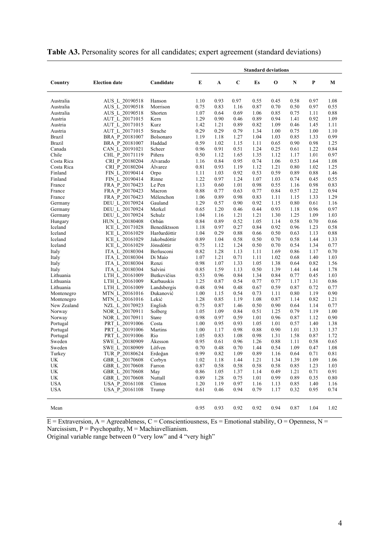|                           |                                  |                           | <b>Standard deviations</b> |              |              |              |              |              |              |              |
|---------------------------|----------------------------------|---------------------------|----------------------------|--------------|--------------|--------------|--------------|--------------|--------------|--------------|
| Country                   | <b>Election date</b>             | Candidate                 | E                          | A            | $\mathbf C$  | Es           | 0            | ${\bf N}$    | P            | М            |
| Australia                 | AUS_L_20190518                   | Hanson                    | 1.10                       | 0.93         | 0.97         | 0.55         | 0.45         | 0.58         | 0.97         | 1.08         |
| Australia                 | AUS L 20190518                   | Morrison                  | 0.75                       | 0.83         | 1.16         | 0.87         | 0.70         | 0.50         | 0.97         | 0.55         |
| Australia                 | AUS L 20190518                   | Shorten                   | 1.07                       | 0.64         | 0.69         | 1.06         | 0.85         | 0.75         | 1.11         | 0.88         |
| Austria                   | AUT L 20171015                   | Kern                      | 1.29                       | 0.90         | 0.46         | 0.89         | 0.94         | 1.41         | 0.92         | 1.09         |
| Austria                   | AUT L 20171015                   | Kurz                      | 1.42                       | 1.21         | 0.89         | 0.82         | 1.09         | 0.46         | 1.45         | 1.11         |
| Austria                   | AUT L 20171015                   | Strache                   | 0.29                       | 0.29         | 0.79         | 1.34         | 1.00         | 0.75         | 1.00         | 1.10         |
| <b>Brazil</b>             | BRA P 20181007                   | Bolsonaro                 | 1.19                       | 1.18         | 1.27         | 1.04         | 1.03         | 0.85         | 1.33         | 0.99         |
| <b>Brazil</b>             | BRA P 20181007                   | Haddad                    | 0.59                       | 1.02         | 1.15         | 1.11         | 0.65         | 0.90         | 0.98         | 1.25         |
| Canada                    | CAN_L_20191021                   | Scheer                    | 0.96                       | 0.91         | 0.51         | 1.24         | 0.25         | 0.61         | 1.22         | 0.84         |
| Chile                     | CHL P 20171119                   | Piñera                    | 0.50                       | 1.12         | 1.65         | 1.35         | 1.12         | 1.17         | 1.01         | 0.97         |
| Costa Rica                | CRI P 20180204                   | Alvarado                  | 1.16                       | 0.84         | 0.95         | 0.74         | 1.06         | 0.53         | 1.64         | 1.08         |
| Costa Rica                | CRI P 20180204                   | Alvarez                   | 0.81                       | 0.93         | 1.19         | 1.12         | 1.21         | 0.80         | 1.02         | 1.25         |
| Finland                   | FIN L 20190414                   | Orpo                      | 1.11                       | 1.03         | 0.92         | 0.53         | 0.59         | 0.89         | 0.88         | 1.46         |
| Finland                   | FIN L 20190414                   | Rinne                     | 1.22                       | 0.97         | 1.24         | 1.07         | 1.03         | 0.74         | 0.45         | 0.55         |
| France                    | FRA P 20170423                   | Le Pen                    | 1.13                       | 0.60         | 1.01         | 0.98         | 0.55         | 1.16         | 0.98         | 0.83         |
| France                    | FRA P 20170423                   | Macron                    | 0.88                       | 0.77         | 0.63         | 0.77         | 0.84         | 0.57         | 1.22         | 0.94         |
| France                    | FRA P 20170423                   | Mélenchon                 | 1.06                       | 0.89         | 0.98         | 0.83         | 1.11         | 1.15         | 1.33         | 1.29         |
| Germany                   | DEU L 20170924                   | Gauland                   | 1.29                       | 0.57         | 0.90         | 0.92         | 1.15         | 0.80         | 0.61         | 1.16         |
| Germany                   | DEU L 20170924                   | Merkel                    | 0.65                       | 1.20         | 0.46         | 0.44         | 0.93         | 1.18         | 0.96         | 0.97         |
| Germany                   | DEU L 20170924                   | Schulz                    | 1.04                       | 1.16         | 1.21         | 1.21         | 1.30         | 1.25         | 1.09         | 1.03         |
| Hungary                   | HUN L 20180408                   | Orbán                     | 0.84                       | 0.89         | 0.52         | 1.05         | 1.14         | 0.58         | 0.70         | 0.66         |
| Iceland                   | ICE L 20171028                   | Benediktsson              | 1.18                       | 0.97         | 0.27         | 0.84         | 0.92         | 0.96         | 1.23         | 0.58         |
| Iceland                   | ICE L 20161029                   | Harðardóttir              | 1.04                       | 0.29         | 0.88         | 0.66         | 0.50         | 0.63         | 1.13         | 0.88         |
| Iceland                   | ICE L 20161029                   | Jakobsdóttir              | 0.89                       | 1.04         | 0.58         | 0.50         | 0.70         | 0.58         | 1.44         | 1.33         |
| Iceland                   | ICE L 20161029                   | Jónsdóttir                | 0.75                       | 1.12         | 1.24         | 0.50         | 0.70         | 0.54         | 1.34         | 0.77         |
| Italy                     | ITA L 20180304                   | Berlusconi                | 0.82                       | 1.28         | 1.13         | 1.11         | 1.69         | 0.86         | 1.17         | 0.70         |
| Italy                     | ITA L 20180304                   | Di Maio                   | 1.07                       | 1.21         | 0.71         | 1.11         | 1.02         | 0.68         | 1.40         | 1.03         |
| Italy                     | ITA L 20180304                   | Renzi                     | 0.98                       | 1.07         | 1.33         | 1.05         | 1.38         | 0.64         | 0.82         | 1.56         |
| Italy                     | ITA L 20180304                   | Salvini                   | 0.85                       | 1.59         | 1.13         | 0.50         | 1.39         | 1.44         | 1.44         | 1.78         |
| Lithuania                 | LTH_L_20161009                   | Butkevičius               | 0.53                       | 0.96         | 0.84         | 1.34         | 0.84         | 0.77         | 0.45         | 1.03         |
| Lithuania                 | LTH L 20161009                   | Karbauskis                | 1.25                       | 0.87         | 0.54         | 0.77         | 0.77         | 1.17         | 1.31         | 0.86         |
| Lithuania                 | LTH L 20161009                   | Landsbergis               | 0.48                       | 0.94         | 0.48         | 0.67         | 0.59         | 0.87         | 0.72         | 0.77         |
| Montenegro                | MTN L 20161016<br>MTN L 20161016 | <b>Dukanović</b><br>Lekić | 1.00<br>1.28               | 1.15<br>0.85 | 0.54<br>1.19 | 0.73<br>1.08 | 1.11<br>0.87 | 0.80<br>1.14 | 1.19<br>0.82 | 0.90<br>1.21 |
| Montenegro<br>New Zealand | NZL L 20170923                   | English                   | 0.75                       | 0.87         |              | 0.50         | 0.90         | 0.64         | 1.14         | 0.77         |
| Norway                    | NOR L 20170911                   | Solberg                   | 1.05                       | 1.09         | 1.46<br>0.84 | 0.51         | 1.25         | 0.79         | 1.19         | 1.00         |
| Norway                    | NOR L 20170911                   | Støre                     | 0.98                       | 0.97         | 0.59         | 1.01         | 0.96         | 0.87         | 1.12         | 0.90         |
| Portugal                  | PRT L 20191006                   | Costa                     | 1.00                       | 0.95         | 0.93         | 1.05         | 1.01         | 0.57         | 1.40         | 1.38         |
| Portugal                  | PRT L 20191006                   | Martins                   | 1.00                       | 1.17         | 0.98         | 0.88         | 0.90         | 1.01         | 1.33         | 1.37         |
| Portugal                  | PRT L 20191006                   | Rio                       | 1.05                       | 0.83         | 1.08         | 0.98         | 1.31         | 1.58         | 0.87         | 1.72         |
| Sweden                    | SWE L 20180909                   | Åkesson                   | 0.95                       | 0.61         | 0.96         | 1.26         | 0.88         | 1.11         | 0.58         | 0.65         |
| Sweden                    | SWE L 20180909                   | Löfven                    | 0.70                       | 0.48         | 0.70         | 1.44         | 0.54         | 1.09         | 0.47         | 1.08         |
| Turkey                    | TUR_P_20180624                   | Erdoğan                   | 0.99                       | 0.82         | 1.09         | 0.89         | 1.16         | 0.64         | 0.71         | 0.81         |
| UK                        | GBR L 20170608                   | Corbyn                    | 1.02                       | 1.18         | 1.44         | 1.21         | 1.34         | 1.39         | 1.09         | 1.06         |
| UK                        | GBR L 20170608                   | Farron                    | 0.87                       | 0.58         | 0.58         | 0.58         | 0.58         | 0.85         | 1.23         | 1.03         |
| UK                        | GBR L 20170608                   | May                       | 0.86                       | 1.05         | 1.37         | 1.14         | 0.49         | 1.21         | 0.71         | 0.91         |
| UK                        | GBR L 20170608                   | Nuttall                   | 0.89                       | 1.28         | 0.75         | 1.01         | 0.99         | 0.89         | 0.35         | 0.80         |
| <b>USA</b>                | USA P 20161108                   | Clinton                   | 1.20                       | 1.19         | 0.97         | 1.16         | 1.13         | 0.85         | 1.40         | 1.16         |
| <b>USA</b>                | USA P 20161108                   | Trump                     | 0.61                       | 0.46         | 0.94         | 0.79         | 1.17         | 0.32         | 0.95         | 0.74         |
|                           |                                  |                           | 0.95                       | 0.93         | 0.92         | 0.92         | 0.94         | 0.87         | 1.04         | 1.02         |
| Mean                      |                                  |                           |                            |              |              |              |              |              |              |              |

## **Table A3.** Personality scores for all candidates; expert agreement (standard deviations)

 $\overline{E}$  = Extraversion, A = Agreeableness, C = Conscientiousness, Es = Emotional stability, O = Openness, N = Narcissism,  $P =$  Psychopathy,  $M =$  Machiavellianism.

Original variable range between 0 "very low" and 4 "very high"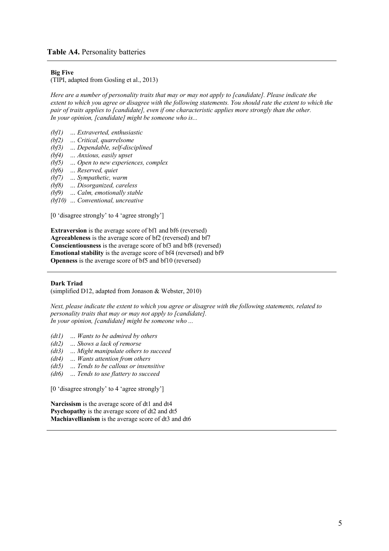#### **Table A4.** Personality batteries

#### **Big Five**

(TIPI, adapted from Gosling et al., 2013)

*Here are a number of personality traits that may or may not apply to [candidate]. Please indicate the extent to which you agree or disagree with the following statements. You should rate the extent to which the pair of traits applies to [candidate], even if one characteristic applies more strongly than the other. In your opinion, [candidate] might be someone who is...*

- *(bf1) … Extraverted, enthusiastic*
- *(bf2) … Critical, quarrelsome*
- *(bf3) … Dependable, self-disciplined*
- *(bf4) … Anxious, easily upset*
- *(bf5) … Open to new experiences, complex*
- *(bf6) … Reserved, quiet*
- *(bf7) … Sympathetic, warm*
- *(bf8) … Disorganized, careless*
- *(bf9) … Calm, emotionally stable*
- *(bf10) … Conventional, uncreative*

[0 'disagree strongly' to 4 'agree strongly']

**Extraversion** is the average score of bf1 and bf6 (reversed) **Agreeableness** is the average score of bf2 (reversed) and bf7 **Conscientiousness** is the average score of bf3 and bf8 (reversed) **Emotional stability** is the average score of bf4 (reversed) and bf9 **Openness** is the average score of bf5 and bf10 (reversed)

#### **Dark Triad**

(simplified D12, adapted from Jonason & Webster, 2010)

*Next, please indicate the extent to which you agree or disagree with the following statements, related to personality traits that may or may not apply to [candidate]. In your opinion, [candidate] might be someone who ...*

- *(dt1) … Wants to be admired by others*
- *(dt2) … Shows a lack of remorse*
- *(dt3) … Might manipulate others to succeed*
- *(dt4) … Wants attention from others*
- *(dt5) … Tends to be callous or insensitive*
- *(dt6) … Tends to use flattery to succeed*

[0 'disagree strongly' to 4 'agree strongly']

**Narcissism** is the average score of dt1 and dt4 **Psychopathy** is the average score of dt2 and dt5 **Machiavellianism** is the average score of dt3 and dt6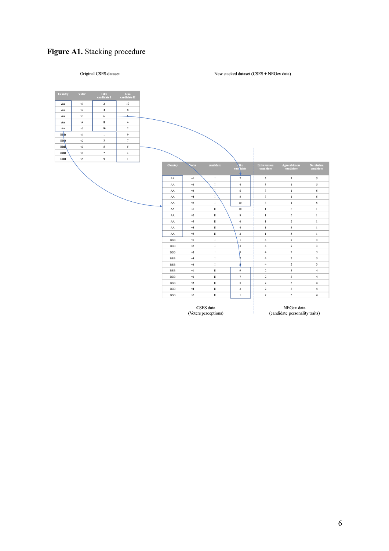## **Figure A1.** Stacking procedure

#### Original CSES dataset

New stacked dataset (CSES + NEGex data)



(Voters perceptions)

NEGex data<br>(candidate personality traits)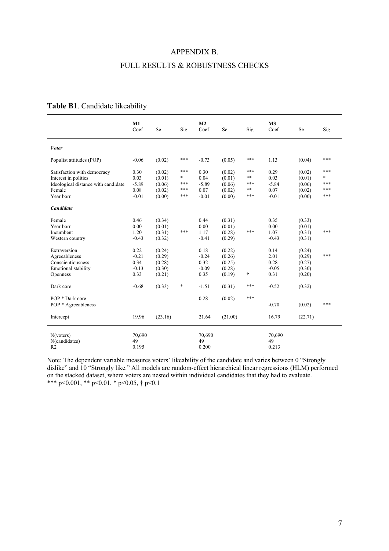#### APPENDIX B.

## FULL RESULTS & ROBUSTNESS CHECKS

## **Table B1**. Candidate likeability

|                                              | M1<br>Coef            | Se      | Sig | M <sub>2</sub><br>Coef | Se      | Sig | M <sub>3</sub><br>Coef | Se      | Sig    |
|----------------------------------------------|-----------------------|---------|-----|------------------------|---------|-----|------------------------|---------|--------|
| <b>V</b> oter                                |                       |         |     |                        |         |     |                        |         |        |
| Populist attitudes (POP)                     | $-0.06$               | (0.02)  | *** | $-0.73$                | (0.05)  | *** | 1.13                   | (0.04)  | ***    |
| Satisfaction with democracy                  | 0.30                  | (0.02)  | *** | 0.30                   | (0.02)  | *** | 0.29                   | (0.02)  | ***    |
| Interest in politics                         | 0.03                  | (0.01)  | *   | 0.04                   | (0.01)  | **  | 0.03                   | (0.01)  | $\ast$ |
| Ideological distance with candidate          | $-5.89$               | (0.06)  | *** | $-5.89$                | (0.06)  | *** | $-5.84$                | (0.06)  | ***    |
| Female                                       | 0.08                  | (0.02)  | *** | 0.07                   | (0.02)  | **  | 0.07                   | (0.02)  | ***    |
| Year born                                    | $-0.01$               | (0.00)  | *** | $-0.01$                | (0.00)  | *** | $-0.01$                | (0.00)  | ***    |
| <b>Candidate</b>                             |                       |         |     |                        |         |     |                        |         |        |
| Female                                       | 0.46                  | (0.34)  |     | 0.44                   | (0.31)  |     | 0.35                   | (0.33)  |        |
| Year born                                    | 0.00                  | (0.01)  |     | 0.00                   | (0.01)  |     | 0.00                   | (0.01)  |        |
| Incumbent                                    | 1.20                  | (0.31)  | *** | 1.17                   | (0.28)  | *** | 1.07                   | (0.31)  | ***    |
| Western country                              | $-0.43$               | (0.32)  |     | $-0.41$                | (0.29)  |     | $-0.43$                | (0.31)  |        |
| Extraversion                                 | 0.22                  | (0.24)  |     | 0.18                   | (0.22)  |     | 0.14                   | (0.24)  |        |
| Agreeableness                                | $-0.21$               | (0.29)  |     | $-0.24$                | (0.26)  |     | 2.01                   | (0.29)  | ***    |
| Conscientiousness                            | 0.34                  | (0.28)  |     | 0.32                   | (0.25)  |     | 0.28                   | (0.27)  |        |
| <b>Emotional stability</b>                   | $-0.13$               | (0.30)  |     | $-0.09$                | (0.28)  |     | $-0.05$                | (0.30)  |        |
| Openness                                     | 0.33                  | (0.21)  |     | 0.35                   | (0.19)  | t   | 0.31                   | (0.20)  |        |
| Dark core                                    | $-0.68$               | (0.33)  | *   | $-1.51$                | (0.31)  | *** | $-0.52$                | (0.32)  |        |
| POP * Dark core                              |                       |         |     | 0.28                   | (0.02)  | *** | $-0.70$                |         | ***    |
| POP * Agreeableness                          |                       |         |     |                        |         |     |                        | (0.02)  |        |
| Intercept                                    | 19.96                 | (23.16) |     | 21.64                  | (21.00) |     | 16.79                  | (22.71) |        |
| N(voters)<br>N(candidates)<br>R <sub>2</sub> | 70,690<br>49<br>0.195 |         |     | 70,690<br>49<br>0.200  |         |     | 70,690<br>49<br>0.213  |         |        |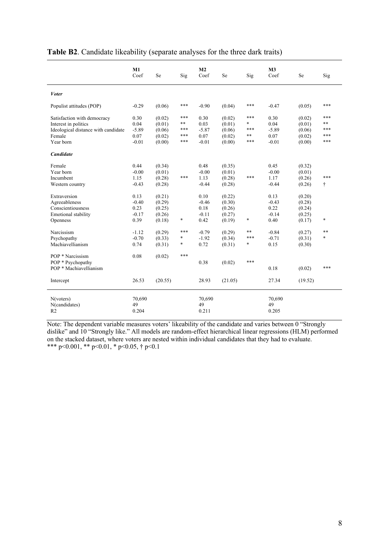|                                     | M1<br>Coef | Se      | Sig | M <sub>2</sub><br>Coef | Se      | Sig    | M3<br>Coef | Se      | Sig    |
|-------------------------------------|------------|---------|-----|------------------------|---------|--------|------------|---------|--------|
| <b>Voter</b>                        |            |         |     |                        |         |        |            |         |        |
| Populist attitudes (POP)            | $-0.29$    | (0.06)  | *** | $-0.90$                | (0.04)  | ***    | $-0.47$    | (0.05)  | ***    |
| Satisfaction with democracy         | 0.30       | (0.02)  | *** | 0.30                   | (0.02)  | ***    | 0.30       | (0.02)  | ***    |
| Interest in politics                | 0.04       | (0.01)  | **  | 0.03                   | (0.01)  | *      | 0.04       | (0.01)  | **     |
| Ideological distance with candidate | $-5.89$    | (0.06)  | *** | $-5.87$                | (0.06)  | ***    | $-5.89$    | (0.06)  | ***    |
| Female                              | 0.07       | (0.02)  | *** | 0.07                   | (0.02)  | **     | 0.07       | (0.02)  | ***    |
| Year born                           | $-0.01$    | (0.00)  | *** | $-0.01$                | (0.00)  | ***    | $-0.01$    | (0.00)  | ***    |
| Candidate                           |            |         |     |                        |         |        |            |         |        |
| Female                              | 0.44       | (0.34)  |     | 0.48                   | (0.35)  |        | 0.45       | (0.32)  |        |
| Year born                           | $-0.00$    | (0.01)  |     | $-0.00$                | (0.01)  |        | $-0.00$    | (0.01)  |        |
| Incumbent                           | 1.15       | (0.28)  | *** | 1.13                   | (0.28)  | ***    | 1.17       | (0.26)  | ***    |
| Western country                     | $-0.43$    | (0.28)  |     | $-0.44$                | (0.28)  |        | $-0.44$    | (0.26)  | t      |
|                                     |            |         |     |                        |         |        |            |         |        |
| Extraversion                        | 0.13       | (0.21)  |     | 0.10                   | (0.22)  |        | 0.13       | (0.20)  |        |
| Agreeableness                       | $-0.40$    | (0.29)  |     | $-0.46$                | (0.30)  |        | $-0.43$    | (0.28)  |        |
| Conscientiousness                   | 0.23       | (0.25)  |     | 0.18                   | (0.26)  |        | 0.22       | (0.24)  |        |
| Emotional stability                 | $-0.17$    | (0.26)  |     | $-0.11$                | (0.27)  |        | $-0.14$    | (0.25)  |        |
| Openness                            | 0.39       | (0.18)  | *   | 0.42                   | (0.19)  | $\ast$ | 0.40       | (0.17)  | *      |
|                                     |            |         |     |                        |         |        |            |         |        |
| Narcissism                          | $-1.12$    | (0.29)  | *** | $-0.79$                | (0.29)  | **     | $-0.84$    | (0.27)  | **     |
| Psychopathy                         | $-0.70$    | (0.33)  | *   | $-1.92$                | (0.34)  | ***    | $-0.71$    | (0.31)  | $\ast$ |
| Machiavellianism                    | 0.74       | (0.31)  | *   | 0.72                   | (0.31)  | *      | 0.15       | (0.30)  |        |
|                                     |            |         |     |                        |         |        |            |         |        |
| POP * Narcissism                    | 0.08       | (0.02)  | *** |                        |         |        |            |         |        |
| POP * Psychopathy                   |            |         |     | 0.38                   | (0.02)  | ***    |            |         |        |
| POP * Machiavellianism              |            |         |     |                        |         |        | 0.18       | (0.02)  | ***    |
|                                     |            |         |     |                        |         |        |            |         |        |
| Intercept                           | 26.53      | (20.55) |     | 28.93                  | (21.05) |        | 27.34      | (19.52) |        |
| N(voters)                           | 70,690     |         |     | 70,690                 |         |        | 70,690     |         |        |
| N(candidates)                       | 49         |         |     | 49                     |         |        | 49         |         |        |
| R <sub>2</sub>                      | 0.204      |         |     | 0.211                  |         |        | 0.205      |         |        |
|                                     |            |         |     |                        |         |        |            |         |        |

#### **Table B2**. Candidate likeability (separate analyses for the three dark traits)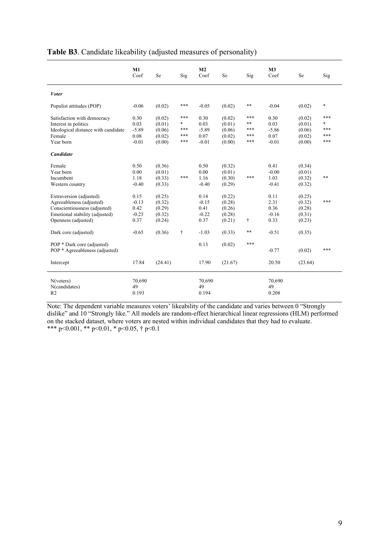|                                              | M1<br>Coef            | Se      | Sig | M <sub>2</sub><br>Coef | Se      | Sig   | M <sub>3</sub><br>Coef | Se      | Sig    |
|----------------------------------------------|-----------------------|---------|-----|------------------------|---------|-------|------------------------|---------|--------|
| <b>V</b> oter                                |                       |         |     |                        |         |       |                        |         |        |
| Populist attitudes (POP)                     | $-0.06$               | (0.02)  | *** | $-0.05$                | (0.02)  | **    | $-0.04$                | (0.02)  | $\ast$ |
| Satisfaction with democracy                  | 0.30                  | (0.02)  | *** | 0.30                   | (0.02)  | ***   | 0.30                   | (0.02)  | ***    |
| Interest in politics                         | 0.03                  | (0.01)  | *   | 0.03                   | (0.01)  | **    | 0.03                   | (0.01)  | *      |
| Ideological distance with candidate          | $-5.89$               | (0.06)  | *** | $-5.89$                | (0.06)  | ***   | $-5.86$                | (0.06)  | ***    |
| Female                                       | 0.08                  | (0.02)  | *** | 0.07                   | (0.02)  | ***   | 0.07                   | (0.02)  | ***    |
| Year born                                    | $-0.01$               | (0.00)  | *** | $-0.01$                | (0.00)  | ***   | $-0.01$                | (0.00)  | ***    |
| Candidate                                    |                       |         |     |                        |         |       |                        |         |        |
| Female                                       | 0.50                  | (0.36)  |     | 0.50                   | (0.32)  |       | 0.41                   | (0.34)  |        |
| Year born                                    | 0.00                  | (0.01)  |     | 0.00                   | (0.01)  |       | $-0.00$                | (0.01)  |        |
| Incumbent                                    | 1.18                  | (0.33)  | *** | 1.16                   | (0.30)  | ***   | 1.03                   | (0.32)  | **     |
| Western country                              | $-0.40$               | (0.33)  |     | $-0.40$                | (0.29)  |       | $-0.41$                | (0.32)  |        |
| Extraversion (adjusted)                      | 0.15                  | (0.25)  |     | 0.14                   | (0.22)  |       | 0.11                   | (0.25)  |        |
| Agreeableness (adjusted)                     | $-0.13$               | (0.32)  |     | $-0.15$                | (0.28)  |       | 2.31                   | (0.32)  | ***    |
| Conscientiousness (adjusted)                 | 0.42                  | (0.29)  |     | 0.41                   | (0.26)  |       | 0.36                   | (0.28)  |        |
| Emotional stability (adjusted)               | $-0.23$               | (0.32)  |     | $-0.22$                | (0.28)  |       | $-0.16$                | (0.31)  |        |
| Openness (adjusted)                          | 0.37                  | (0.24)  |     | 0.37                   | (0.21)  | t     | 0.33                   | (0.23)  |        |
| Dark core (adjusted)                         | $-0.65$               | (0.36)  | ÷   | $-1.03$                | (0.33)  | $***$ | $-0.51$                | (0.35)  |        |
| POP * Dark core (adjusted)                   |                       |         |     | 0.13                   | (0.02)  | ***   |                        |         |        |
| POP * Agreeableness (adjusted)               |                       |         |     |                        |         |       | $-0.77$                | (0.02)  | ***    |
| Intercept                                    | 17.84                 | (24.41) |     | 17.90                  | (21.67) |       | 20.50                  | (23.64) |        |
| N(voters)<br>N(candidates)<br>R <sub>2</sub> | 70,690<br>49<br>0.193 |         |     | 70,690<br>49<br>0.194  |         |       | 70,690<br>49<br>0.208  |         |        |

## **Table B3**. Candidate likeability (adjusted measures of personality)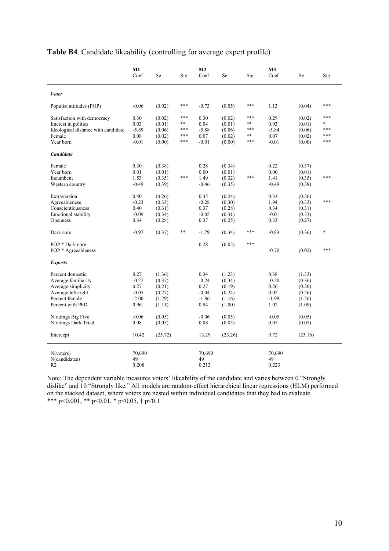|                                                                                                                           | M1<br>Coef                                            | Se                                                       | Sig                            | M <sub>2</sub><br>Coef                                | Se                                                       | Sig                           | M <sub>3</sub><br>Coef                             | Se                                                       | Sig                                |
|---------------------------------------------------------------------------------------------------------------------------|-------------------------------------------------------|----------------------------------------------------------|--------------------------------|-------------------------------------------------------|----------------------------------------------------------|-------------------------------|----------------------------------------------------|----------------------------------------------------------|------------------------------------|
| <b>V</b> oter                                                                                                             |                                                       |                                                          |                                |                                                       |                                                          |                               |                                                    |                                                          |                                    |
| Populist attitudes (POP)                                                                                                  | $-0.06$                                               | (0.02)                                                   | ***                            | $-0.73$                                               | (0.05)                                                   | ***                           | 1.13                                               | (0.04)                                                   | ***                                |
| Satisfaction with democracy<br>Interest in politics<br>Ideological distance with candidate<br>Female<br>Year born         | 0.30<br>0.03<br>$-5.89$<br>0.08<br>$-0.01$            | (0.02)<br>(0.01)<br>(0.06)<br>(0.02)<br>(0.00)           | ***<br>**<br>***<br>***<br>*** | 0.30<br>0.04<br>$-5.88$<br>0.07<br>$-0.01$            | (0.02)<br>(0.01)<br>(0.06)<br>(0.02)<br>(0.00)           | ***<br>**<br>***<br>**<br>*** | 0.29<br>0.03<br>$-5.84$<br>0.07<br>$-0.01$         | (0.02)<br>(0.01)<br>(0.06)<br>(0.02)<br>(0.00)           | ***<br>$\ast$<br>***<br>***<br>*** |
| <b>Candidate</b>                                                                                                          |                                                       |                                                          |                                |                                                       |                                                          |                               |                                                    |                                                          |                                    |
| Female<br>Year born<br>Incumbent<br>Western country                                                                       | 0.30<br>0.01<br>1.53<br>$-0.49$                       | (0.38)<br>(0.01)<br>(0.35)<br>(0.39)                     | ***                            | 0.28<br>0.00<br>1.49<br>$-0.46$                       | (0.34)<br>(0.01)<br>(0.32)<br>(0.35)                     | ***                           | 0.22<br>0.00<br>1.41<br>$-0.49$                    | (0.37)<br>(0.01)<br>(0.35)<br>(0.38)                     | ***                                |
| Extraversion<br>Agreeableness<br>Conscientiousness<br><b>Emotional stability</b><br>Openness                              | 0.40<br>$-0.23$<br>0.40<br>$-0.09$<br>0.34            | (0.26)<br>(0.33)<br>(0.31)<br>(0.34)<br>(0.28)           |                                | 0.35<br>$-0.28$<br>0.37<br>$-0.05$<br>0.37            | (0.24)<br>(0.30)<br>(0.28)<br>(0.31)<br>(0.25)           |                               | 0.33<br>1.94<br>0.34<br>$-0.01$<br>0.33            | (0.26)<br>(0.33)<br>(0.31)<br>(0.33)<br>(0.27)           | ***                                |
| Dark core                                                                                                                 | $-0.97$                                               | (0.37)                                                   | **                             | $-1.79$                                               | (0.34)                                                   | ***                           | $-0.83$                                            | (0.36)                                                   | *                                  |
| POP * Dark core<br>POP * Agreeableness                                                                                    |                                                       |                                                          |                                | 0.28                                                  | (0.02)                                                   | ***                           | $-0.70$                                            | (0.02)                                                   | ***                                |
| <b>Experts</b>                                                                                                            |                                                       |                                                          |                                |                                                       |                                                          |                               |                                                    |                                                          |                                    |
| Percent domestic<br>Average familiarity<br>Average simplicity<br>Average left-right<br>Percent female<br>Percent with PhD | 0.27<br>$-0.27$<br>0.27<br>$-0.05$<br>$-2.00$<br>0.96 | (1.36)<br>(0.37)<br>(0.21)<br>(0.27)<br>(1.29)<br>(1.11) |                                | 0.34<br>$-0.24$<br>0.27<br>$-0.04$<br>$-1.86$<br>0.94 | (1.23)<br>(0.34)<br>(0.19)<br>(0.24)<br>(1.16)<br>(1.00) |                               | 0.38<br>$-0.20$<br>0.26<br>0.02<br>$-1.99$<br>1.02 | (1.33)<br>(0.36)<br>(0.20)<br>(0.26)<br>(1.26)<br>(1.09) |                                    |
| N ratings Big Five<br>N ratings Dark Triad                                                                                | $-0.06$<br>0.08                                       | (0.05)<br>(0.05)                                         |                                | $-0.06$<br>0.08                                       | (0.05)<br>(0.05)                                         |                               | $-0.05$<br>0.07                                    | (0.05)<br>(0.05)                                         |                                    |
| Intercept                                                                                                                 | 10.42                                                 | (25.72)                                                  |                                | 13.29                                                 | (23.26)                                                  |                               | 9.72                                               | (25.16)                                                  |                                    |
| N(voters)<br>N(candidates)<br>R <sub>2</sub>                                                                              | 70.690<br>49<br>0.208                                 |                                                          |                                | 70.690<br>49<br>0.212                                 |                                                          |                               | 70.690<br>49<br>0.223                              |                                                          |                                    |

## **Table B4**. Candidate likeability (controlling for average expert profile)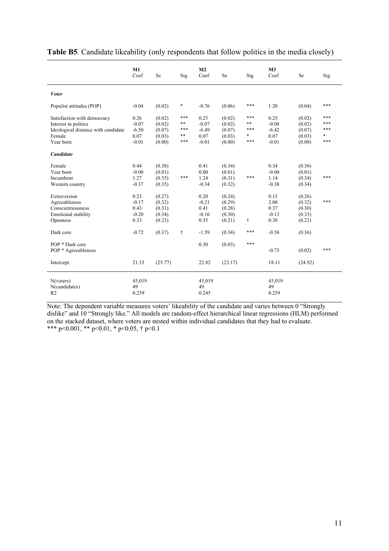|                                              | M1<br>Coef            | Se      | Sig       | M <sub>2</sub><br>Coef | Se      | Sig | M3<br>Coef            | Se      | Sig    |
|----------------------------------------------|-----------------------|---------|-----------|------------------------|---------|-----|-----------------------|---------|--------|
| <b>V</b> oter                                |                       |         |           |                        |         |     |                       |         |        |
| Populist attitudes (POP)                     | $-0.04$               | (0.02)  | $\ast$    | $-0.76$                | (0.06)  | *** | 1.20                  | (0.04)  | ***    |
| Satisfaction with democracy                  | 0.26                  | (0.02)  | ***       | 0.25                   | (0.02)  | *** | 0.25                  | (0.02)  | ***    |
| Interest in politics                         | $-0.07$               | (0.02)  | **        | $-0.07$                | (0.02)  | **  | $-0.08$               | (0.02)  | ***    |
| Ideological distance with candidate          | $-6.50$               | (0.07)  | ***       | $-6.49$                | (0.07)  | *** | $-6.42$               | (0.07)  | ***    |
| Female                                       | 0.07                  | (0.03)  | **        | 0.07                   | (0.03)  | *   | 0.07                  | (0.03)  | $\ast$ |
| Year born                                    | $-0.01$               | (0.00)  | ***       | $-0.01$                | (0.00)  | *** | $-0.01$               | (0.00)  | ***    |
| <b>Candidate</b>                             |                       |         |           |                        |         |     |                       |         |        |
| Female                                       | 0.44                  | (0.38)  |           | 0.41                   | (0.34)  |     | 0.34                  | (0.36)  |        |
| Year born                                    | $-0.00$               | (0.01)  |           | 0.00                   | (0.01)  |     | $-0.00$               | (0.01)  |        |
| Incumbent                                    | 1.27                  | (0.35)  | ***       | 1.24                   | (0.31)  | *** | 1.14                  | (0.34)  | ***    |
| Western country                              | $-0.37$               | (0.35)  |           | $-0.34$                | (0.32)  |     | $-0.38$               | (0.34)  |        |
| Extraversion                                 | 0.23                  | (0.27)  |           | 0.20                   | (0.24)  |     | 0.15                  | (0.26)  |        |
| Agreeableness                                | $-0.17$               | (0.32)  |           | $-0.21$                | (0.29)  |     | 2.08                  | (0.32)  | ***    |
| Conscientiousness                            | 0.43                  | (0.31)  |           | 0.41                   | (0.28)  |     | 0.37                  | (0.30)  |        |
| Emotional stability                          | $-0.20$               | (0.34)  |           | $-0.16$                | (0.30)  |     | $-0.13$               | (0.33)  |        |
| Openness                                     | 0.33                  | (0.23)  |           | 0.35                   | (0.21)  | t   | 0.30                  | (0.22)  |        |
|                                              |                       |         |           |                        |         |     |                       |         |        |
| Dark core                                    | $-0.72$               | (0.37)  | $\dagger$ | $-1.59$                | (0.34)  | *** | $-0.56$               | (0.36)  |        |
| POP * Dark core                              |                       |         |           | 0.30                   | (0.03)  | *** |                       |         |        |
| POP * Agreeableness                          |                       |         |           |                        |         |     | $-0.73$               | (0.02)  | ***    |
| Intercept                                    | 21.33                 | (25.77) |           | 22.82                  | (23.17) |     | 18.11                 | (24.92) |        |
| N(voters)<br>N(candidates)<br>R <sub>2</sub> | 45,019<br>49<br>0.239 |         |           | 45,019<br>49<br>0.245  |         |     | 45,019<br>49<br>0.259 |         |        |

| Table B5. Candidate likeability (only respondents that follow politics in the media closely) |  |  |  |
|----------------------------------------------------------------------------------------------|--|--|--|
|                                                                                              |  |  |  |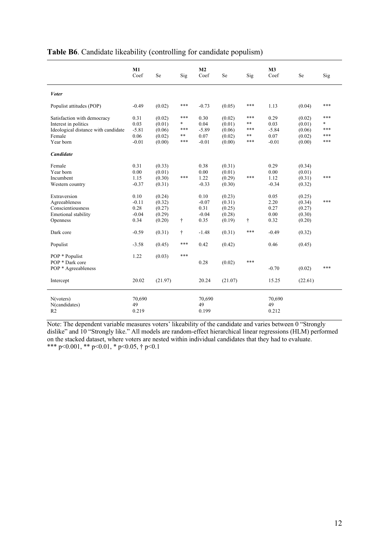|                                                                                                                   | M1<br>Coef                                 | Se                                             | Sig                             | M <sub>2</sub><br>Coef                     | Se                                             | Sig                                 | M <sub>3</sub><br>Coef                     | Se                                             | Sig                                |
|-------------------------------------------------------------------------------------------------------------------|--------------------------------------------|------------------------------------------------|---------------------------------|--------------------------------------------|------------------------------------------------|-------------------------------------|--------------------------------------------|------------------------------------------------|------------------------------------|
| <b>Voter</b>                                                                                                      |                                            |                                                |                                 |                                            |                                                |                                     |                                            |                                                |                                    |
| Populist attitudes (POP)                                                                                          | $-0.49$                                    | (0.02)                                         | ***                             | $-0.73$                                    | (0.05)                                         | ***                                 | 1.13                                       | (0.04)                                         | ***                                |
| Satisfaction with democracy<br>Interest in politics<br>Ideological distance with candidate<br>Female<br>Year born | 0.31<br>0.03<br>$-5.81$<br>0.06<br>$-0.01$ | (0.02)<br>(0.01)<br>(0.06)<br>(0.02)<br>(0.00) | ***<br>*<br>***<br>$***$<br>*** | 0.30<br>0.04<br>$-5.89$<br>0.07<br>$-0.01$ | (0.02)<br>(0.01)<br>(0.06)<br>(0.02)<br>(0.00) | ***<br>$***$<br>***<br>$***$<br>*** | 0.29<br>0.03<br>$-5.84$<br>0.07<br>$-0.01$ | (0.02)<br>(0.01)<br>(0.06)<br>(0.02)<br>(0.00) | ***<br>$\ast$<br>***<br>***<br>*** |
| Candidate                                                                                                         |                                            |                                                |                                 |                                            |                                                |                                     |                                            |                                                |                                    |
| Female<br>Year born<br>Incumbent<br>Western country                                                               | 0.31<br>0.00<br>1.15<br>$-0.37$            | (0.33)<br>(0.01)<br>(0.30)<br>(0.31)           | ***                             | 0.38<br>0.00<br>1.22<br>$-0.33$            | (0.31)<br>(0.01)<br>(0.29)<br>(0.30)           | ***                                 | 0.29<br>0.00<br>1.12<br>$-0.34$            | (0.34)<br>(0.01)<br>(0.31)<br>(0.32)           | ***                                |
| Extraversion<br>Agreeableness<br>Conscientiousness<br><b>Emotional stability</b><br>Openness                      | 0.10<br>$-0.11$<br>0.28<br>$-0.04$<br>0.34 | (0.24)<br>(0.32)<br>(0.27)<br>(0.29)<br>(0.20) | t                               | 0.10<br>$-0.07$<br>0.31<br>$-0.04$<br>0.35 | (0.23)<br>(0.31)<br>(0.25)<br>(0.28)<br>(0.19) | t                                   | 0.05<br>2.20<br>0.27<br>0.00<br>0.32       | (0.25)<br>(0.34)<br>(0.27)<br>(0.30)<br>(0.20) | ***                                |
| Dark core                                                                                                         | $-0.59$                                    | (0.31)                                         | t                               | $-1.48$                                    | (0.31)                                         | ***                                 | $-0.49$                                    | (0.32)                                         |                                    |
| Populist                                                                                                          | $-3.58$                                    | (0.45)                                         | ***                             | 0.42                                       | (0.42)                                         |                                     | 0.46                                       | (0.45)                                         |                                    |
| POP * Populist<br>POP * Dark core<br>POP * Agreeableness                                                          | 1.22                                       | (0.03)                                         | ***                             | 0.28                                       | (0.02)                                         | ***                                 | $-0.70$                                    | (0.02)                                         | ***                                |
| Intercept                                                                                                         | 20.02                                      | (21.97)                                        |                                 | 20.24                                      | (21.07)                                        |                                     | 15.25                                      | (22.61)                                        |                                    |
| N(voters)<br>N(candidates)<br>R <sub>2</sub>                                                                      | 70,690<br>49<br>0.219                      |                                                |                                 | 70,690<br>49<br>0.199                      |                                                |                                     | 70,690<br>49<br>0.212                      |                                                |                                    |

## **Table B6**. Candidate likeability (controlling for candidate populism)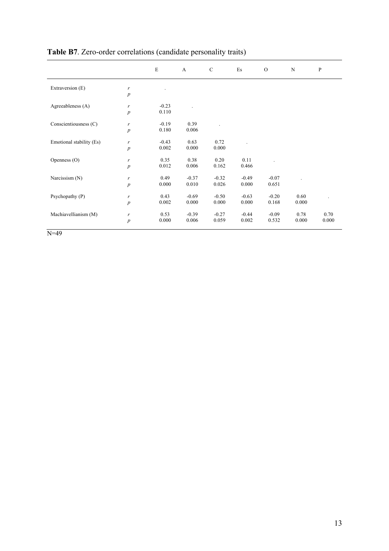|                          |                  | $\mathbf E$ | A                    | $\mathsf{C}$ | $\mathop{\hbox{\rm Es}}$ | $\mathcal{O}$ | $\mathbf N$ | ${\bf P}$ |
|--------------------------|------------------|-------------|----------------------|--------------|--------------------------|---------------|-------------|-----------|
| Extraversion (E)         | r                |             |                      |              |                          |               |             |           |
|                          | $\boldsymbol{p}$ |             |                      |              |                          |               |             |           |
| Agreeableness (A)        | r                | $-0.23$     | $\ddot{\phantom{a}}$ |              |                          |               |             |           |
|                          | $\boldsymbol{p}$ | 0.110       |                      |              |                          |               |             |           |
| Conscientiousness (C)    | r                | $-0.19$     | 0.39                 |              |                          |               |             |           |
|                          | $\boldsymbol{p}$ | 0.180       | 0.006                |              |                          |               |             |           |
| Emotional stability (Es) | r                | $-0.43$     | 0.63                 | 0.72         |                          |               |             |           |
|                          | $\boldsymbol{p}$ | 0.002       | 0.000                | 0.000        |                          |               |             |           |
| Openness (O)             | $\boldsymbol{r}$ | 0.35        | 0.38                 | 0.20         | 0.11                     |               |             |           |
|                          | $\boldsymbol{p}$ | 0.012       | 0.006                | 0.162        | 0.466                    |               |             |           |
| Narcissism (N)           | $\boldsymbol{r}$ | 0.49        | $-0.37$              | $-0.32$      | $-0.49$                  | $-0.07$       |             |           |
|                          | $\boldsymbol{p}$ | 0.000       | 0.010                | 0.026        | 0.000                    | 0.651         |             |           |
| Psychopathy (P)          | $\boldsymbol{r}$ | 0.43        | $-0.69$              | $-0.50$      | $-0.63$                  | $-0.20$       | 0.60        |           |
|                          | $\boldsymbol{p}$ | 0.002       | 0.000                | 0.000        | 0.000                    | 0.168         | 0.000       |           |
| Machiavellianism (M)     | r                | 0.53        | $-0.39$              | $-0.27$      | $-0.44$                  | $-0.09$       | 0.78        | 0.70      |
|                          | $\boldsymbol{p}$ | 0.000       | 0.006                | 0.059        | 0.002                    | 0.532         | 0.000       | 0.000     |

# **Table B7**. Zero-order correlations (candidate personality traits)

 $N=49$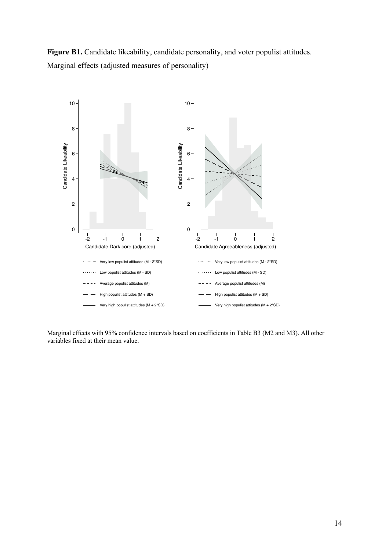



Marginal effects with 95% confidence intervals based on coefficients in Table B3 (M2 and M3). All other variables fixed at their mean value.